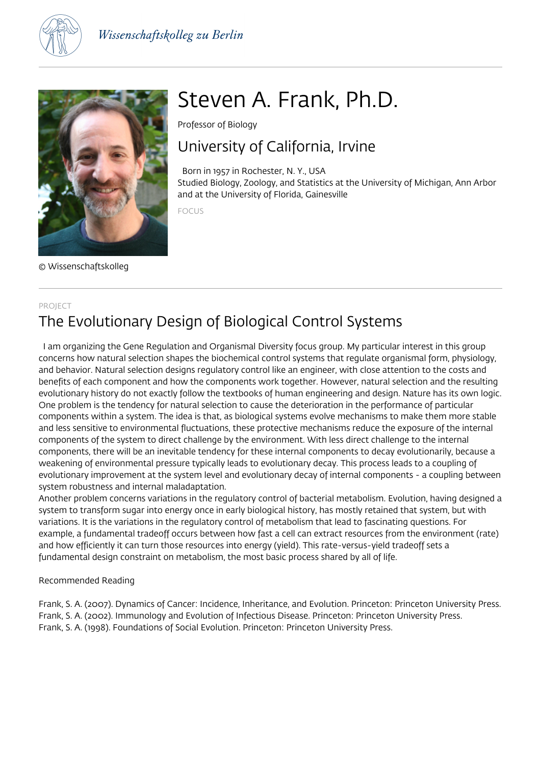



© Wissenschaftskolleg

# Steven A. Frank, Ph.D.

Professor of Biology

# University of California, Irvine

 Born in 1957 in Rochester, N. Y., USA Studied Biology, Zoology, and Statistics at the University of Michigan, Ann Arbor and at the University of Florida, Gainesville

FOCUS

### PROJECT The Evolutionary Design of Biological Control Systems

 I am organizing the Gene Regulation and Organismal Diversity focus group. My particular interest in this group concerns how natural selection shapes the biochemical control systems that regulate organismal form, physiology, and behavior. Natural selection designs regulatory control like an engineer, with close attention to the costs and benefits of each component and how the components work together. However, natural selection and the resulting evolutionary history do not exactly follow the textbooks of human engineering and design. Nature has its own logic. One problem is the tendency for natural selection to cause the deterioration in the performance of particular components within a system. The idea is that, as biological systems evolve mechanisms to make them more stable and less sensitive to environmental fluctuations, these protective mechanisms reduce the exposure of the internal components of the system to direct challenge by the environment. With less direct challenge to the internal components, there will be an inevitable tendency for these internal components to decay evolutionarily, because a weakening of environmental pressure typically leads to evolutionary decay. This process leads to a coupling of evolutionary improvement at the system level and evolutionary decay of internal components - a coupling between system robustness and internal maladaptation.

Another problem concerns variations in the regulatory control of bacterial metabolism. Evolution, having designed a system to transform sugar into energy once in early biological history, has mostly retained that system, but with variations. It is the variations in the regulatory control of metabolism that lead to fascinating questions. For example, a fundamental tradeoff occurs between how fast a cell can extract resources from the environment (rate) and how efficiently it can turn those resources into energy (yield). This rate-versus-yield tradeoff sets a fundamental design constraint on metabolism, the most basic process shared by all of life.

Recommended Reading

Frank, S. A. (2007). Dynamics of Cancer: Incidence, Inheritance, and Evolution. Princeton: Princeton University Press. Frank, S. A. (2002). Immunology and Evolution of Infectious Disease. Princeton: Princeton University Press. Frank, S. A. (1998). Foundations of Social Evolution. Princeton: Princeton University Press.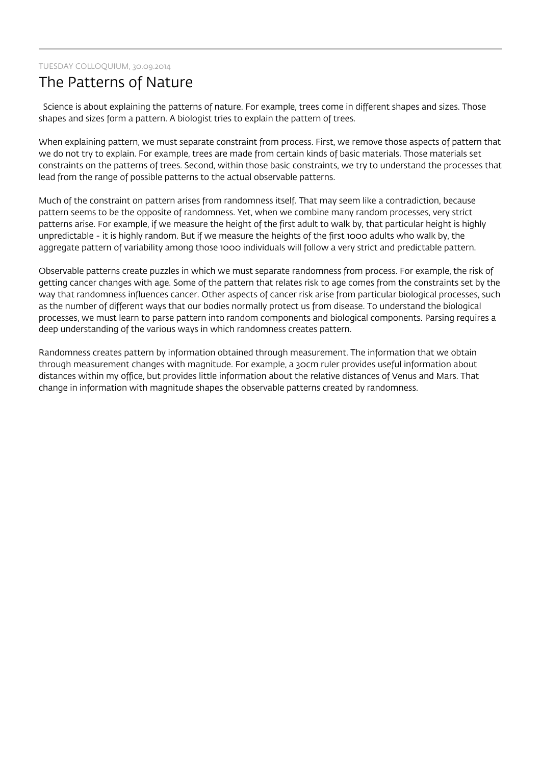#### TUESDAY COLLOQUIUM, 30.09.2014

## The Patterns of Nature

 Science is about explaining the patterns of nature. For example, trees come in different shapes and sizes. Those shapes and sizes form a pattern. A biologist tries to explain the pattern of trees.

When explaining pattern, we must separate constraint from process. First, we remove those aspects of pattern that we do not try to explain. For example, trees are made from certain kinds of basic materials. Those materials set constraints on the patterns of trees. Second, within those basic constraints, we try to understand the processes that lead from the range of possible patterns to the actual observable patterns.

Much of the constraint on pattern arises from randomness itself. That may seem like a contradiction, because pattern seems to be the opposite of randomness. Yet, when we combine many random processes, very strict patterns arise. For example, if we measure the height of the first adult to walk by, that particular height is highly unpredictable - it is highly random. But if we measure the heights of the first 1000 adults who walk by, the aggregate pattern of variability among those 1000 individuals will follow a very strict and predictable pattern.

Observable patterns create puzzles in which we must separate randomness from process. For example, the risk of getting cancer changes with age. Some of the pattern that relates risk to age comes from the constraints set by the way that randomness influences cancer. Other aspects of cancer risk arise from particular biological processes, such as the number of different ways that our bodies normally protect us from disease. To understand the biological processes, we must learn to parse pattern into random components and biological components. Parsing requires a deep understanding of the various ways in which randomness creates pattern.

Randomness creates pattern by information obtained through measurement. The information that we obtain through measurement changes with magnitude. For example, a 30cm ruler provides useful information about distances within my office, but provides little information about the relative distances of Venus and Mars. That change in information with magnitude shapes the observable patterns created by randomness.